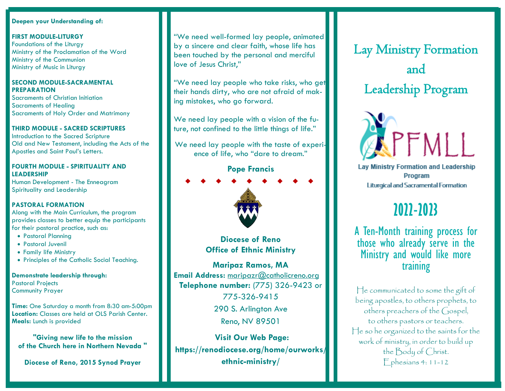### **Deepen your Understanding of:**

ł

**FIRST MODULE-LITURGY** Foundations of the Liturgy Ministry of the Proclamation of the Word Ministry of the Communion Ministry of Music in Liturgy

#### **SECOND MODULE-SACRAMENTAL PREPARATION**

Sacraments of Christian Initiation Sacraments of Healing Sacraments of Holy Order and Matrimony

### **THIRD MODULE - SACRED SCRIPTURES**

Introduction to the Sacred Scripture Old and New Testament, including the Acts of the Apostles and Saint Paul's Letters.

### **FOURTH MODULE - SPIRITUALITY AND LEADERSHIP**

Human Development - The Enneagram Spirituality and Leadership

## **PASTORAL FORMATION**

Along with the Main Curriculum, the program provides classes to better equip the participants for their pastoral practice, such as:

- Pastoral Planning
- Pastoral Juvenil
- Family life Ministry
- Principles of the Catholic Social Teaching.

**Demonstrate leadership through:** Pastoral Projects Community Prayer

**Time:** One Saturday a month from 8:30 am-5:00pm **Location:** Classes are held at OLS Parish Center. **Meals:** Lunch is provided

**"Giving new life to the mission of the Church here in Northern Nevada "**

**Diocese of Reno, 2015 Synod Prayer**

"We need well-formed lay people, animated by a sincere and clear faith, whose life has been touched by the personal and merciful love of Jesus Christ,"

"We need lay people who take risks, who get their hands dirty, who are not afraid of making mistakes, who go forward.

We need lay people with a vision of the future, not confined to the little things of life."

We need lay people with the taste of experience of life, who "dare to dream."

# **Pope Francis**



**Diocese of Reno Office of Ethnic Ministry**

**Maripaz Ramos, MA Email Address:** [maripazr@catholicreno.org](mailto:maripazr@catholicreno.org) **Telephone number:** (775) 326-9423 or

> 775-326-9415 290 S. Arlington Ave Reno, NV 89501

**Visit Our Web Page: https://renodiocese.org/home/ourworks/ ethnic-ministry/**

Lay Ministry Formation and Leadership Program

 $\mathbb{R}$ 



**Lay Ministry Formation and Leadership** Program **Liturgical and Sacramental Formation** 

# **2022-2023**

A Ten-Month training process for those who already serve in the Ministry and would like more training

He communicated to some the gift of being apostles, to others prophets, to others preachers of the Gospel, to others pastors or teachers. He so he organized to the saints for the work of ministry, in order to build up the Body of Christ. Ephesians 4: 11-12